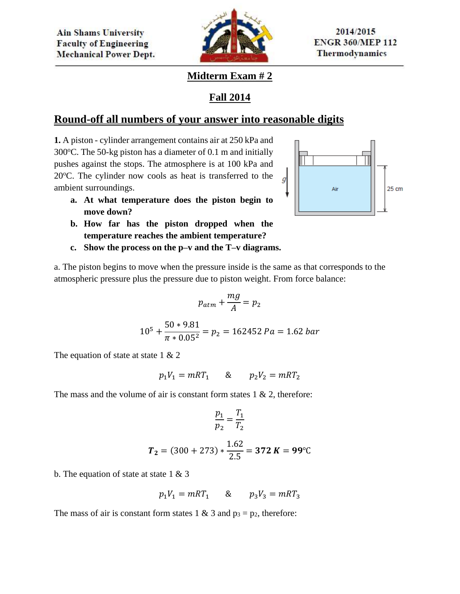

## **Midterm Exam # 2**

## **Fall 2014**

## **Round-off all numbers of your answer into reasonable digits**

**1.** A piston - cylinder arrangement contains air at 250 kPa and 300 $^{\circ}$ C. The 50-kg piston has a diameter of 0.1 m and initially pushes against the stops. The atmosphere is at 100 kPa and  $20^{\circ}$ C. The cylinder now cools as heat is transferred to the ambient surroundings.

- **a. At what temperature does the piston begin to move down?**
- **b. How far has the piston dropped when the temperature reaches the ambient temperature?**
- **c. Show the process on the p–v and the T–v diagrams.**

a. The piston begins to move when the pressure inside is the same as that corresponds to the atmospheric pressure plus the pressure due to piston weight. From force balance:

$$
p_{atm} + \frac{mg}{A} = p_2
$$

$$
10^5 + \frac{50 * 9.81}{\pi * 0.05^2} = p_2 = 162452 Pa = 1.62 bar
$$

The equation of state at state  $1 \& 2$ 

$$
p_1V_1 = mRT_1 \qquad \& \qquad p_2V_2 = mRT_2
$$

The mass and the volume of air is constant form states  $1 \& 2$ , therefore:

$$
\frac{p_1}{p_2} = \frac{T_1}{T_2}
$$

$$
T_2 = (300 + 273) * \frac{1.62}{2.5} =
$$
 **372**  $K = 99$ °C

b. The equation of state at state  $1 \& 3$ 

$$
p_1V_1 = mRT_1 \qquad \& \qquad p_3V_3 = mRT_3
$$

The mass of air is constant form states 1 & 3 and  $p_3 = p_2$ , therefore:

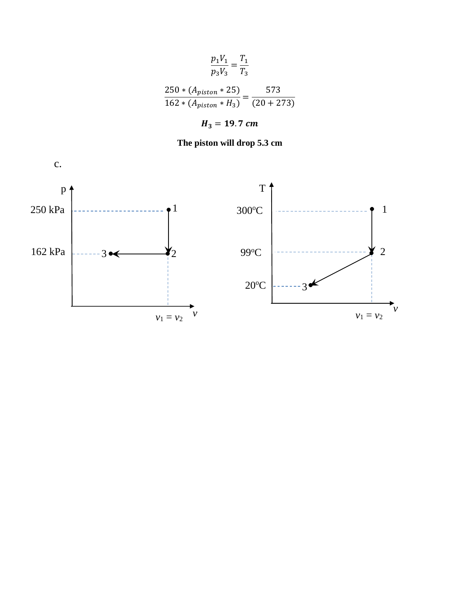$$
\frac{p_1 V_1}{p_3 V_3} = \frac{T_1}{T_3}
$$
  

$$
\frac{250 * (A_{piston} * 25)}{162 * (A_{piston} * H_3)} = \frac{573}{(20 + 273)}
$$

 $H_3 = 19.7$  cm

## **The piston will drop 5.3 cm**